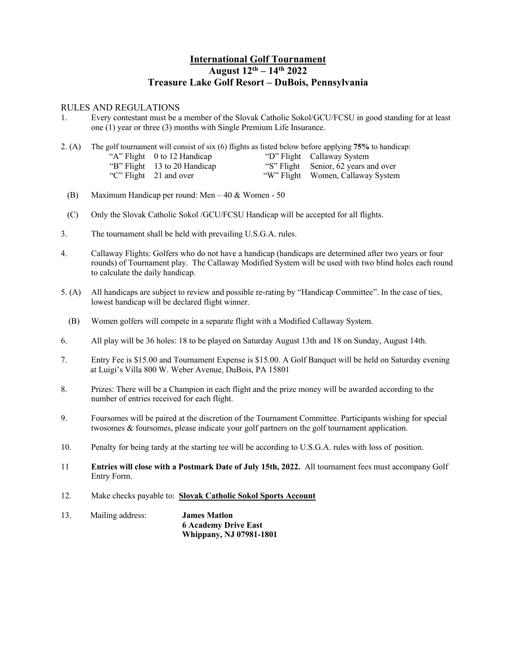## **International Golf Tournament August 12th – 14th 2022 Treasure Lake Golf Resort – DuBois, Pennsylvania**

## RULES AND REGULATIONS

1. Every contestant must be a member of the Slovak Catholic Sokol/GCU/FCSU in good standing for at least one (1) year or three (3) months with Single Premium Life Insurance.

2. (A) The golf tournament will consist of six (6) flights as listed below before applying **75%** to handicap: "A" Flight 0 to 12 Handicap "B" Flight 13 to 20 Handicap "C" Flight 21 and over "D" Flight Callaway System "S" Flight "W" Flight Women, Callaway System Senior, 62 years and over

- (B) Maximum Handicap per round: Men 40 & Women 50
- (C) Only the Slovak Catholic Sokol /GCU/FCSU Handicap will be accepted for all flights.
- 3. The tournament shall be held with prevailing U.S.G.A. rules.
- 4. Callaway Flights: Golfers who do not have a handicap (handicaps are determined after two years or four rounds) of Tournament play. The Callaway Modified System will be used with two blind holes each round to calculate the daily handicap.
- 5. (A) All handicaps are subject to review and possible re-rating by "Handicap Committee". In the case of ties, lowest handicap will be declared flight winner.
	- (B) Women golfers will compete in a separate flight with a Modified Callaway System.
- 6. All play will be 36 holes: 18 to be played on Saturday August 13th and 18 on Sunday, August 14th.
- 7. Entry Fee is \$15.00 and Tournament Expense is \$15.00. A Golf Banquet will be held on Saturday evening at Luigi's Villa 800 W. Weber Avenue, DuBois, PA 15801
- 8. Prizes: There will be a Champion in each flight and the prize money will be awarded according to the number of entries received for each flight.
- 9. Foursomes will be paired at the discretion of the Tournament Committee. Participants wishing for special twosomes & foursomes, please indicate your golf partners on the golf tournament application.
- 10. Penalty for being tardy at the starting tee will be according to U.S.G.A. rules with loss of position.
- 11 **Entries will close with a Postmark Date of July 15th, 2022.** All tournament fees must accompany Golf Entry Form.
- 12. Make checks payable to: **Slovak Catholic Sokol Sports Account**
- 13. Mailing address: **James Matlon 6 Academy Drive East Whippany, NJ 07981-1801**